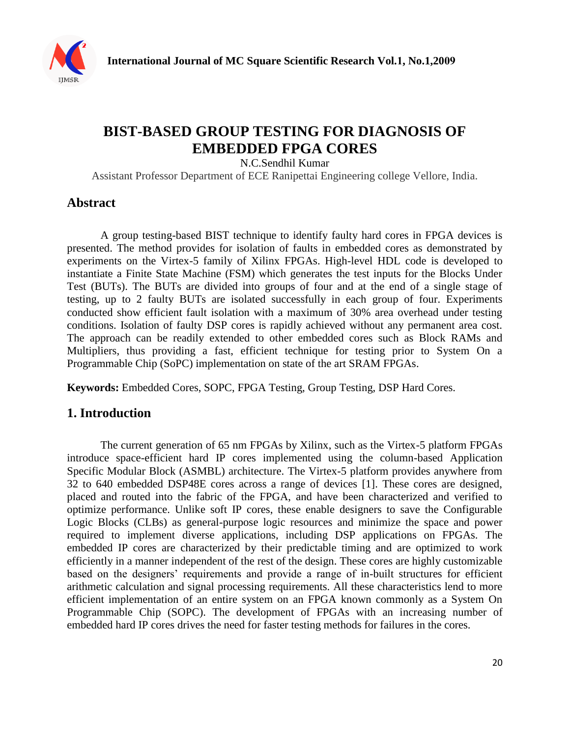

# **BIST-BASED GROUP TESTING FOR DIAGNOSIS OF EMBEDDED FPGA CORES**

N.C.Sendhil Kumar

Assistant Professor Department of ECE Ranipettai Engineering college Vellore, India.

## **Abstract**

A group testing-based BIST technique to identify faulty hard cores in FPGA devices is presented. The method provides for isolation of faults in embedded cores as demonstrated by experiments on the Virtex-5 family of Xilinx FPGAs. High-level HDL code is developed to instantiate a Finite State Machine (FSM) which generates the test inputs for the Blocks Under Test (BUTs). The BUTs are divided into groups of four and at the end of a single stage of testing, up to 2 faulty BUTs are isolated successfully in each group of four. Experiments conducted show efficient fault isolation with a maximum of 30% area overhead under testing conditions. Isolation of faulty DSP cores is rapidly achieved without any permanent area cost. The approach can be readily extended to other embedded cores such as Block RAMs and Multipliers, thus providing a fast, efficient technique for testing prior to System On a Programmable Chip (SoPC) implementation on state of the art SRAM FPGAs.

**Keywords:** Embedded Cores, SOPC, FPGA Testing, Group Testing, DSP Hard Cores.

# **1. Introduction**

The current generation of 65 nm FPGAs by Xilinx, such as the Virtex-5 platform FPGAs introduce space-efficient hard IP cores implemented using the column-based Application Specific Modular Block (ASMBL) architecture. The Virtex-5 platform provides anywhere from 32 to 640 embedded DSP48E cores across a range of devices [1]. These cores are designed, placed and routed into the fabric of the FPGA, and have been characterized and verified to optimize performance. Unlike soft IP cores, these enable designers to save the Configurable Logic Blocks (CLBs) as general-purpose logic resources and minimize the space and power required to implement diverse applications, including DSP applications on FPGAs. The embedded IP cores are characterized by their predictable timing and are optimized to work efficiently in a manner independent of the rest of the design. These cores are highly customizable based on the designers' requirements and provide a range of in-built structures for efficient arithmetic calculation and signal processing requirements. All these characteristics lend to more efficient implementation of an entire system on an FPGA known commonly as a System On Programmable Chip (SOPC). The development of FPGAs with an increasing number of embedded hard IP cores drives the need for faster testing methods for failures in the cores.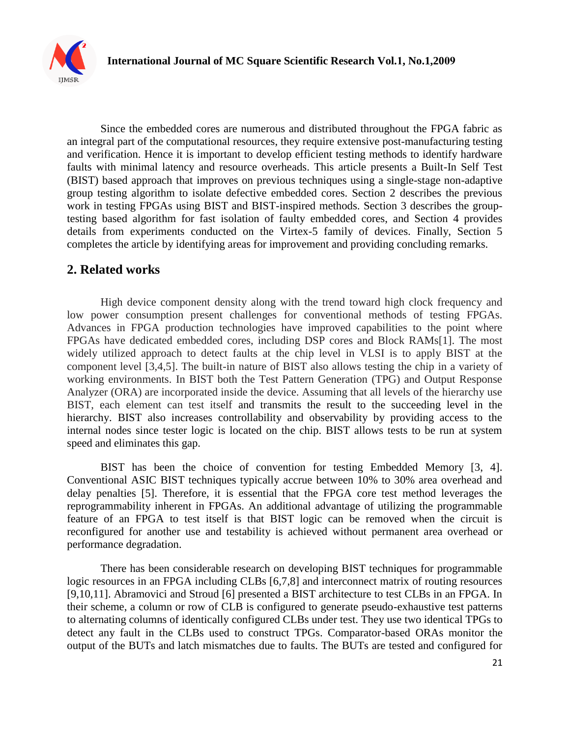

Since the embedded cores are numerous and distributed throughout the FPGA fabric as an integral part of the computational resources, they require extensive post-manufacturing testing and verification. Hence it is important to develop efficient testing methods to identify hardware faults with minimal latency and resource overheads. This article presents a Built-In Self Test (BIST) based approach that improves on previous techniques using a single-stage non-adaptive group testing algorithm to isolate defective embedded cores. Section 2 describes the previous work in testing FPGAs using BIST and BIST-inspired methods. Section 3 describes the grouptesting based algorithm for fast isolation of faulty embedded cores, and Section 4 provides details from experiments conducted on the Virtex-5 family of devices. Finally, Section 5 completes the article by identifying areas for improvement and providing concluding remarks.

### **2. Related works**

High device component density along with the trend toward high clock frequency and low power consumption present challenges for conventional methods of testing FPGAs. Advances in FPGA production technologies have improved capabilities to the point where FPGAs have dedicated embedded cores, including DSP cores and Block RAMs[1]. The most widely utilized approach to detect faults at the chip level in VLSI is to apply BIST at the component level [3,4,5]. The built-in nature of BIST also allows testing the chip in a variety of working environments. In BIST both the Test Pattern Generation (TPG) and Output Response Analyzer (ORA) are incorporated inside the device. Assuming that all levels of the hierarchy use BIST, each element can test itself and transmits the result to the succeeding level in the hierarchy. BIST also increases controllability and observability by providing access to the internal nodes since tester logic is located on the chip. BIST allows tests to be run at system speed and eliminates this gap.

BIST has been the choice of convention for testing Embedded Memory [3, 4]. Conventional ASIC BIST techniques typically accrue between 10% to 30% area overhead and delay penalties [5]. Therefore, it is essential that the FPGA core test method leverages the reprogrammability inherent in FPGAs. An additional advantage of utilizing the programmable feature of an FPGA to test itself is that BIST logic can be removed when the circuit is reconfigured for another use and testability is achieved without permanent area overhead or performance degradation.

There has been considerable research on developing BIST techniques for programmable logic resources in an FPGA including CLBs [6,7,8] and interconnect matrix of routing resources [9,10,11]. Abramovici and Stroud [6] presented a BIST architecture to test CLBs in an FPGA. In their scheme, a column or row of CLB is configured to generate pseudo-exhaustive test patterns to alternating columns of identically configured CLBs under test. They use two identical TPGs to detect any fault in the CLBs used to construct TPGs. Comparator-based ORAs monitor the output of the BUTs and latch mismatches due to faults. The BUTs are tested and configured for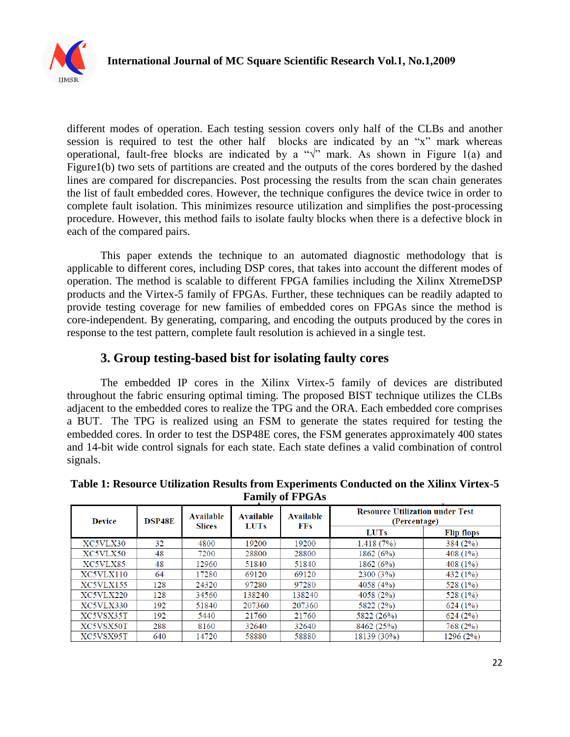

different modes of operation. Each testing session covers only half of the CLBs and another session is required to test the other half blocks are indicated by an "x" mark whereas operational, fault-free blocks are indicated by a " $\sqrt{v}$  mark. As shown in Figure 1(a) and Figure1(b) two sets of partitions are created and the outputs of the cores bordered by the dashed lines are compared for discrepancies. Post processing the results from the scan chain generates the list of fault embedded cores. However, the technique configures the device twice in order to complete fault isolation. This minimizes resource utilization and simplifies the post-processing procedure. However, this method fails to isolate faulty blocks when there is a defective block in each of the compared pairs.

This paper extends the technique to an automated diagnostic methodology that is applicable to different cores, including DSP cores, that takes into account the different modes of operation. The method is scalable to different FPGA families including the Xilinx XtremeDSP products and the Virtex-5 family of FPGAs. Further, these techniques can be readily adapted to provide testing coverage for new families of embedded cores on FPGAs since the method is core-independent. By generating, comparing, and encoding the outputs produced by the cores in response to the test pattern, complete fault resolution is achieved in a single test.

# **3. Group testing-based bist for isolating faulty cores**

The embedded IP cores in the Xilinx Virtex-5 family of devices are distributed throughout the fabric ensuring optimal timing. The proposed BIST technique utilizes the CLBs adjacent to the embedded cores to realize the TPG and the ORA. Each embedded core comprises a BUT. The TPG is realized using an FSM to generate the states required for testing the embedded cores. In order to test the DSP48E cores, the FSM generates approximately 400 states and 14-bit wide control signals for each state. Each state defines a valid combination of control signals.

| <b>Device</b> | <b>DSP48E</b> | Available<br><b>Slices</b> | <b>Available</b><br><b>LUTs</b> | <b>Available</b><br><b>FFs</b> | <b>Resource Utilization under Test</b><br>(Percentage) |                   |
|---------------|---------------|----------------------------|---------------------------------|--------------------------------|--------------------------------------------------------|-------------------|
|               |               |                            |                                 |                                | <b>LUTs</b>                                            | <b>Flip flops</b> |
| XC5VLX30      | 32            | 4800                       | 19200                           | 19200                          | 1,418(7%)                                              | 384(2%)           |
| XC5VLX50      | 48            | 7200                       | 28800                           | 28800                          | 1862(6%)                                               | 408(1%)           |
| XC5VLX85      | 48            | 12960                      | 51840                           | 51840                          | 1862(6%)                                               | 408 $(1%)$        |
| XC5VLX110     | 64            | 17280                      | 69120                           | 69120                          | 2300(3%)                                               | 432(1%)           |
| XC5VLX155     | 128           | 24320                      | 97280                           | 97280                          | 4058 (4%)                                              | 528 (1%)          |
| XC5VLX220     | 128           | 34560                      | 138240                          | 138240                         | 4058 (2%)                                              | 528 (1%)          |
| XC5VLX330     | 192           | 51840                      | 207360                          | 207360                         | 5822 (2%)                                              | 624(1%)           |
| XC5VSX35T     | 192           | 5440                       | 21760                           | 21760                          | 5822 (26%)                                             | 624(2%)           |
| XC5VSX50T     | 288           | 8160                       | 32640                           | 32640                          | 8462 (25%)                                             | 768 (2%)          |
| XC5VSX95T     | 640           | 14720                      | 58880                           | 58880                          | 18139 (30%)                                            | 1296 (2%)         |

**Table 1: Resource Utilization Results from Experiments Conducted on the Xilinx Virtex-5 Family of FPGAs**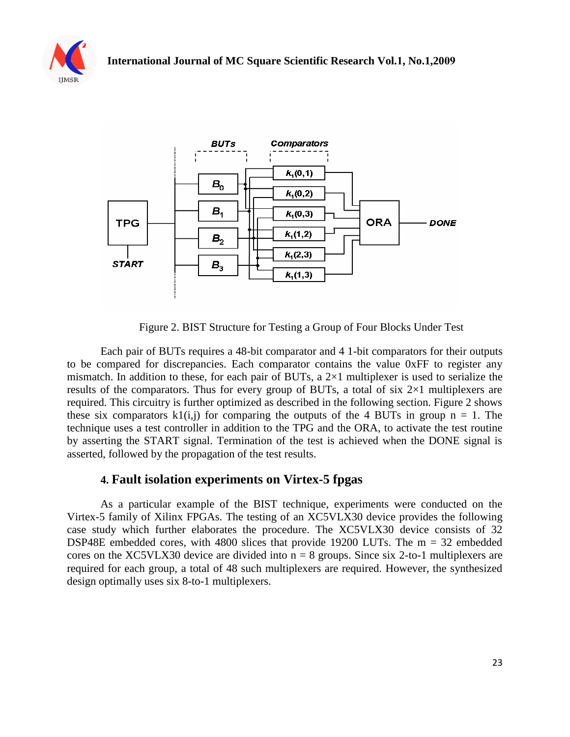



Figure 2. BIST Structure for Testing a Group of Four Blocks Under Test

Each pair of BUTs requires a 48-bit comparator and 4 1-bit comparators for their outputs to be compared for discrepancies. Each comparator contains the value 0xFF to register any mismatch. In addition to these, for each pair of BUTs, a 2×1 multiplexer is used to serialize the results of the comparators. Thus for every group of BUTs, a total of six  $2\times1$  multiplexers are required. This circuitry is further optimized as described in the following section. Figure 2 shows these six comparators  $k1(i,j)$  for comparing the outputs of the 4 BUTs in group  $n = 1$ . The technique uses a test controller in addition to the TPG and the ORA, to activate the test routine by asserting the START signal. Termination of the test is achieved when the DONE signal is asserted, followed by the propagation of the test results.

### **4. Fault isolation experiments on Virtex-5 fpgas**

As a particular example of the BIST technique, experiments were conducted on the Virtex-5 family of Xilinx FPGAs. The testing of an XC5VLX30 device provides the following case study which further elaborates the procedure. The XC5VLX30 device consists of 32 DSP48E embedded cores, with 4800 slices that provide 19200 LUTs. The m = 32 embedded cores on the XC5VLX30 device are divided into  $n = 8$  groups. Since six 2-to-1 multiplexers are required for each group, a total of 48 such multiplexers are required. However, the synthesized design optimally uses six 8-to-1 multiplexers.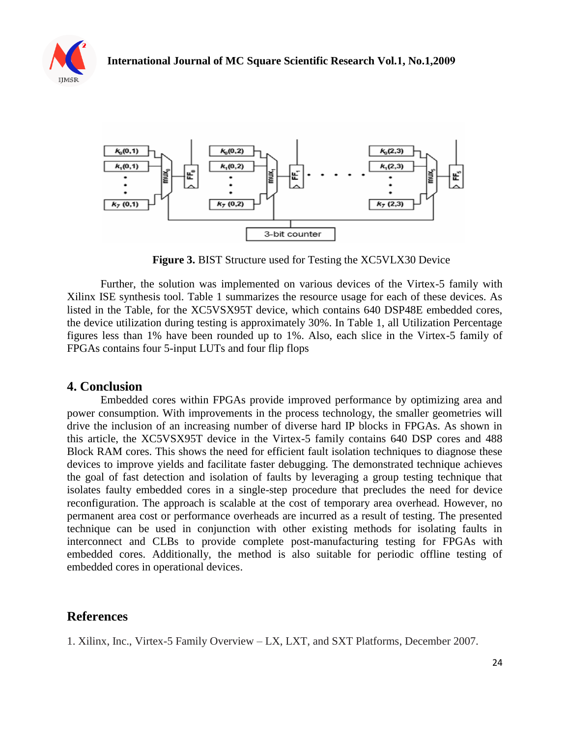



**Figure 3.** BIST Structure used for Testing the XC5VLX30 Device

Further, the solution was implemented on various devices of the Virtex-5 family with Xilinx ISE synthesis tool. Table 1 summarizes the resource usage for each of these devices. As listed in the Table, for the XC5VSX95T device, which contains 640 DSP48E embedded cores, the device utilization during testing is approximately 30%. In Table 1, all Utilization Percentage figures less than 1% have been rounded up to 1%. Also, each slice in the Virtex-5 family of FPGAs contains four 5-input LUTs and four flip flops

#### **4. Conclusion**

Embedded cores within FPGAs provide improved performance by optimizing area and power consumption. With improvements in the process technology, the smaller geometries will drive the inclusion of an increasing number of diverse hard IP blocks in FPGAs. As shown in this article, the XC5VSX95T device in the Virtex-5 family contains 640 DSP cores and 488 Block RAM cores. This shows the need for efficient fault isolation techniques to diagnose these devices to improve yields and facilitate faster debugging. The demonstrated technique achieves the goal of fast detection and isolation of faults by leveraging a group testing technique that isolates faulty embedded cores in a single-step procedure that precludes the need for device reconfiguration. The approach is scalable at the cost of temporary area overhead. However, no permanent area cost or performance overheads are incurred as a result of testing. The presented technique can be used in conjunction with other existing methods for isolating faults in interconnect and CLBs to provide complete post-manufacturing testing for FPGAs with embedded cores. Additionally, the method is also suitable for periodic offline testing of embedded cores in operational devices.

### **References**

1. Xilinx, Inc., Virtex-5 Family Overview – LX, LXT, and SXT Platforms, December 2007.